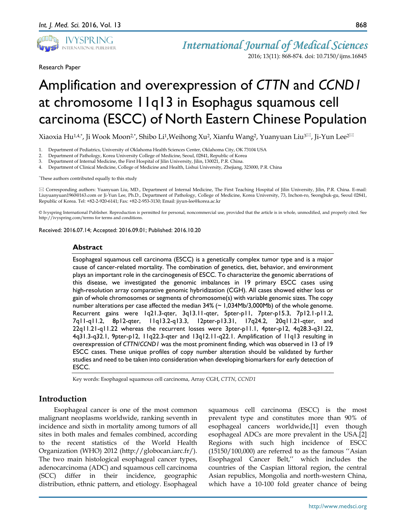

Research Paper

2016; 13(11): 868-874. doi: 10.7150/ijms.16845

# Amplification and overexpression of *CTTN* and *CCND1*  at chromosome 11q13 in Esophagus squamous cell carcinoma (ESCC) of North Eastern Chinese Population

Xiaoxia Hu<sup>1,4\*</sup>, Ji Wook Moon<sup>2\*</sup>, Shibo Li<sup>1</sup>, Weihong Xu<sup>2</sup>, Xianfu Wang<sup>2</sup>, Yuanyuan Liu<sup>3 $\boxtimes$ </sup>, Ji-Yun Lee<sup>2 $\boxtimes$ </sup>

- 1. Department of Pediatrics, University of Oklahoma Health Sciences Center, Oklahoma City, OK 73104 USA
- 2. Department of Pathology, Korea University College of Medicine, Seoul, 02841, Republic of Korea
- 3. Department of Internal Medicine, the First Hospital of Jilin University, Jilin, 130021, P.R. China.

4. Department of Clinical Medicine, College of Medicine and Health, Lishui University, Zhejiang, 323000, P.R. China

\* These authors contributed equally to this study

 Corresponding authors: Yuanyuan Liu, MD., Department of Internal Medicine, The First Teaching Hospital of Jilin University, Jilin, P.R. China. E-mail: Liuyuanyuan1960@163.com or Ji-Yun Lee, Ph.D., Department of Pathology, College of Medicine, Korea University, 73, Inchon-ro, Seongbuk-gu, Seoul 02841, Republic of Korea. Tel: +82-2-920-6141; Fax: +82-2-953-3130; Email: jiyun-lee@korea.ac.kr

© Ivyspring International Publisher. Reproduction is permitted for personal, noncommercial use, provided that the article is in whole, unmodified, and properly cited. See http://ivyspring.com/terms for terms and conditions.

Received: 2016.07.14; Accepted: 2016.09.01; Published: 2016.10.20

#### **Abstract**

Esophageal squamous cell carcinoma (ESCC) is a genetically complex tumor type and is a major cause of cancer-related mortality. The combination of genetics, diet, behavior, and environment plays an important role in the carcinogenesis of ESCC. To characterize the genomic aberrations of this disease, we investigated the genomic imbalances in 19 primary ESCC cases using high-resolution array comparative genomic hybridization (CGH). All cases showed either loss or gain of whole chromosomes or segments of chromosome(s) with variable genomic sizes. The copy number alterations per case affected the median  $34\%$  ( $\sim$  1,034Mb/3,000Mb) of the whole genome. Recurrent gains were 1q21.3-qter, 3q13.11-qter, 5pter-p11, 7pter-p15.3, 7p12.1-p11.2, 7q11-q11.2, 8p12-qter, 11q13.2-q13.3, 12pter-p13.31, 17q24.2, 20q11.21-qter, and 22q11.21-q11.22 whereas the recurrent losses were 3pter-p11.1, 4pter-p12, 4q28.3-q31.22, 4q31.3-q32.1, 9pter-p12, 11q22.3-qter and 13q12.11-q22.1. Amplification of 11q13 resulting in overexpression of *CTTN*/*CCND1* was the most prominent finding, which was observed in 13 of 19 ESCC cases. These unique profiles of copy number alteration should be validated by further studies and need to be taken into consideration when developing biomarkers for early detection of ESCC.

Key words: Esophageal squamous cell carcinoma, Array CGH, *CTTN*, *CCND1*

## **Introduction**

Esophageal cancer is one of the most common malignant neoplasms worldwide, ranking seventh in incidence and sixth in mortality among tumors of all sites in both males and females combined, according to the recent statistics of the World Health Organization (WHO) 2012 (http://globocan.iarc.fr/). The two main histological esophageal cancer types, adenocarcinoma (ADC) and squamous cell carcinoma (SCC) differ in their incidence, geographic distribution, ethnic pattern, and etiology. Esophageal

squamous cell carcinoma (ESCC) is the most prevalent type and constitutes more than 90% of esophageal cancers worldwide,[1] even though esophageal ADCs are more prevalent in the USA.[2] Regions with such high incidence of ESCC (15150/100,000) are referred to as the famous ''Asian Esophageal Cancer Belt,'' which includes the countries of the Caspian littoral region, the central Asian republics, Mongolia and north-western China, which have a 10-100 fold greater chance of being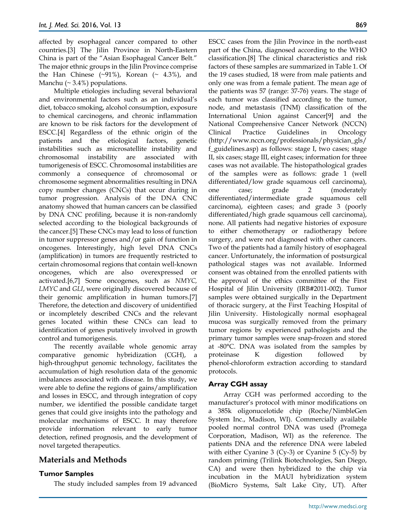affected by esophageal cancer compared to other countries.[3] The Jilin Province in North-Eastern China is part of the "Asian Esophageal Cancer Belt." The major ethnic groups in the Jilin Province comprise the Han Chinese  $(\sim 91\%)$ , Korean  $(\sim 4.3\%)$ , and Manchu ( $\sim$  3.4%) populations.

Multiple etiologies including several behavioral and environmental factors such as an individual's diet, tobacco smoking, alcohol consumption, exposure to chemical carcinogens, and chronic inflammation are known to be risk factors for the development of ESCC.[4] Regardless of the ethnic origin of the patients and the etiological factors, genetic instabilities such as microsatellite instability and chromosomal instability are associated with tumorigenesis of ESCC. Chromosomal instabilities are commonly a consequence of chromosomal or chromosome segment abnormalities resulting in DNA copy number changes (CNCs) that occur during in tumor progression. Analysis of the DNA CNC anatomy showed that human cancers can be classified by DNA CNC profiling, because it is non-randomly selected according to the biological backgrounds of the cancer.[5] These CNCs may lead to loss of function in tumor suppressor genes and/or gain of function in oncogenes. Interestingly, high level DNA CNCs (amplification) in tumors are frequently restricted to certain chromosomal regions that contain well-known oncogenes, which are also overexpressed or activated.[6,7] Some oncogenes, such as *NMYC, LMYC* and *GLI*, were originally discovered because of their genomic amplification in human tumors.[7] Therefore, the detection and discovery of unidentified or incompletely described CNCs and the relevant genes located within these CNCs can lead to identification of genes putatively involved in growth control and tumorigenesis.

The recently available whole genomic array comparative genomic hybridization (CGH), a high-throughput genomic technology, facilitates the accumulation of high resolution data of the genomic imbalances associated with disease. In this study, we were able to define the regions of gains/amplification and losses in ESCC, and through integration of copy number, we identified the possible candidate target genes that could give insights into the pathology and molecular mechanisms of ESCC. It may therefore provide information relevant to early tumor detection, refined prognosis, and the development of novel targeted therapeutics.

# **Materials and Methods**

## **Tumor Samples**

The study included samples from 19 advanced

ESCC cases from the Jilin Province in the north-east part of the China, diagnosed according to the WHO classification.[8] The clinical characteristics and risk factors of these samples are summarized in Table 1. Of the 19 cases studied, 18 were from male patients and only one was from a female patient. The mean age of the patients was 57 (range: 37-76) years. The stage of each tumor was classified according to the tumor, node, and metastasis (TNM) classification of the International Union against Cancer[9] and the National Comprehensive Cancer Network (NCCN) Clinical Practice Guidelines in Oncology (http://www.nccn.org/professionals/physician\_gls/ f\_guidelines.asp) as follows: stage I, two cases; stage II, six cases; stage III, eight cases; information for three cases was not available. The histopathological grades of the samples were as follows: grade 1 (well differentiated/low grade squamous cell carcinoma), one case; grade 2 (moderately differentiated/intermediate grade squamous cell carcinoma), eighteen cases; and grade 3 (poorly differentiated/high grade squamous cell carcinoma), none. All patients had negative histories of exposure to either chemotherapy or radiotherapy before surgery, and were not diagnosed with other cancers. Two of the patients had a family history of esophageal cancer. Unfortunately, the information of postsurgical pathological stages was not available. Informed consent was obtained from the enrolled patients with the approval of the ethics committee of the First Hospital of Jilin University (IRB#2011-002). Tumor samples were obtained surgically in the Department of thoracic surgery, at the First Teaching Hospital of Jilin University. Histologically normal esophageal mucosa was surgically removed from the primary tumor regions by experienced pathologists and the primary tumor samples were snap-frozen and stored at -80°C. DNA was isolated from the samples by proteinase K digestion followed by phenol-chloroform extraction according to standard protocols.

#### **Array CGH assay**

Array CGH was performed according to the manufacturer's protocol with minor modifications on a 385k oligonucelotide chip (Roche/NimbleGen System Inc., Madison, WI). Commercially available pooled normal control DNA was used (Promega Corporation, Madison, WI) as the reference. The patients DNA and the reference DNA were labeled with either Cyanine 3 (Cy-3) or Cyanine 5 (Cy-5) by random priming (Trilink Biotechnologies, San Diego, CA) and were then hybridized to the chip via incubation in the MAUI hybridization system (BioMicro Systems, Salt Lake City, UT). After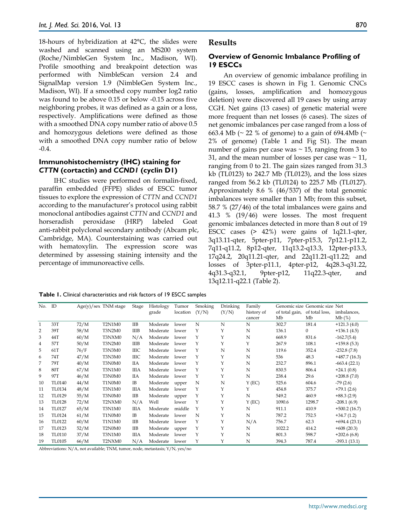18-hours of hybridization at 42°C, the slides were washed and scanned using an MS200 system (Roche/NimbleGen System Inc., Madison, WI). Profile smoothing and breakpoint detection was performed with NimbleScan version 2.4 and SignalMap version 1.9 (NimbleGen System Inc., Madison, WI). If a smoothed copy number log2 ratio was found to be above 0.15 or below -0.15 across five neighboring probes, it was defined as a gain or a loss, respectively. Amplifications were defined as those with a smoothed DNA copy number ratio of above 0.5 and homozygous deletions were defined as those with a smoothed DNA copy number ratio of below -0.4.

#### **Immunohistochemistry (IHC) staining for**  *CTTN* **(cortactin) and** *CCND1* **(cyclin D1)**

IHC studies were performed on formalin-fixed, paraffin embedded (FFPE) slides of ESCC tumor tissues to explore the expression of *CTTN* and *CCND1* according to the manufacturer's protocol using rabbit monoclonal antibodies against *CTTN* and *CCND1* and horseradish peroxidase (HRP) labeled Goat anti-rabbit polyclonal secondary antibody (Abcam plc, Cambridge, MA). Counterstaining was carried out with hematoxylin. The expression score was determined by assessing staining intensity and the percentage of immunoreactive cells.

#### **Results**

#### **Overview of Genomic Imbalance Profiling of 19 ESCCs**

An overview of genomic imbalance profiling in 19 ESCC cases is shown in Fig 1. Genomic CNCs (gains, losses, amplification and homozygous deletion) were discovered all 19 cases by using array CGH. Net gains (13 cases) of genetic material were more frequent than net losses (6 cases). The sizes of net genomic imbalances per case ranged from a loss of 663.4 Mb ( $\sim$  22 % of genome) to a gain of 694.4Mb ( $\sim$ 2% of genome) (Table 1 and Fig S1). The mean number of gains per case was  $\sim$  15, ranging from 3 to 31, and the mean number of losses per case was  $\sim$  11, ranging from 0 to 21. The gain sizes ranged from 31.3 kb (TL0123) to 242.7 Mb (TL0123), and the loss sizes ranged from 56.2 kb (TL0124) to 225.7 Mb (TL0127). Approximately 8.6 % (46/537) of the total genomic imbalances were smaller than 1 Mb; from this subset, 58.7 % (27/46) of the total imbalances were gains and 41.3 % (19/46) were losses. The most frequent genomic imbalances detected in more than 8 out of 19 ESCC cases (> 42%) were gains of 1q21.1-qter, 3q13.11-qter, 5pter-p11, 7pter-p15.3, 7p12.1-p11.2, 7q11-q11.2, 8p12-qter, 11q13.2-q13.3, 12pter-p13.3, 17q24.2, 20q11.21-qter, and 22q11.21-q11.22; and losses of 3pter-p11.1, 4pter-p12, 4q28.3-q31.22, 4q31.3-q32.1, 9pter-p12, 11q22.3-qter, and 13q12.11-q22.1 (Table 2).

| Table 1. Clinical characteristics and risk factors of 19 ESCC samples |  |  |  |
|-----------------------------------------------------------------------|--|--|--|
|-----------------------------------------------------------------------|--|--|--|

| No. | ID            |      | $Age(y)/sex$ TNM stage | Stage       | Histology | Tumor    | Smoking | Drinking | Family     |                | Genomic size Genomic size Net |                |
|-----|---------------|------|------------------------|-------------|-----------|----------|---------|----------|------------|----------------|-------------------------------|----------------|
|     |               |      |                        |             | grade     | location | (Y/N)   | (Y/N)    | history of | of total gain, | of total loss,                | imbalances,    |
|     |               |      |                        |             |           |          |         |          | cancer     | Mb             | Mb                            | Mb(%)          |
| 1   | 33T           | 72/M | <b>T2N1M0</b>          | <b>IIB</b>  | Moderate  | lower    | N       | N        | N          | 302.7          | 181.4                         | $+121.3(4.0)$  |
| 2   | 39T           | 58/M | <b>T3N2M0</b>          | ШB          | Moderate  | lower    | Υ       | Υ        | N          | 136.1          | $\mathbf{0}$                  | $+136.1(4.5)$  |
| 3   | 44T           | 60/M | T3NXM0                 | N/A         | Moderate  | lower    | Υ       | Υ        | N          | 668.9          | 831.6                         | $-162.7(5.4)$  |
| 4   | 57T           | 50/M | <b>T3N2M0</b>          | ШB          | Moderate  | lower    | Υ       | Y        | Υ          | 267.9          | 108.1                         | $+159.8(5.3)$  |
| 5   | 61T           | 76/F | T3N3M0                 | ШC          | Moderate  | lower    | Υ       | N        | N          | 119.6          | 352.4                         | $-232.8(7.8)$  |
| 6   | 74T           | 47/M | T3N3M0                 | <b>IIIC</b> | Moderate  | lower    | Υ       | Υ        | N          | 536            | 48.3                          | $+487.7(16.3)$ |
| 7   | 79T           | 40/M | T3N0M0                 | IIА         | Moderate  | lower    | Υ       | Y        | N          | 232.7          | 896.1                         | $-663.4(22.1)$ |
| 8   | 80T           | 67/M | <b>T3N1M0</b>          | ШA          | Moderate  | lower    | Υ       | Υ        | N          | 830.5          | 806.4                         | $+24.1(0.8)$   |
| 9   | 97T           | 46/M | T3N0M0                 | IIА         | Moderate  | lower    | Υ       | Υ        | N          | 238.4          | 29.6                          | $+208.8(7.0)$  |
| 10  | TL0140        | 44/M | T1N0M0                 | IB          | Moderate  | upper    | Ν       | N        | $Y$ (EC)   | 525.6          | 604.6                         | $-79(2.6)$     |
| 11  | TL0134        | 48/M | <b>T3N1M0</b>          | <b>IIIA</b> | Moderate  | lower    | Υ       | Y        | Υ          | 454.8          | 375.7                         | $+79.1(2.6)$   |
| 12  | TL0129        | 55/M | T3N0M0                 | <b>IIB</b>  | Moderate  | upper    | Υ       | Υ        | N          | 549.2          | 460.9                         | $+88.3(2.9)$   |
| 13  | <b>TL0128</b> | 72/M | T2NXM0                 | N/A         | Well      | lower    | Y       | Υ        | $Y$ (EC)   | 1090.6         | 1298.7                        | $-208.1(6.9)$  |
| 14  | TL0127        | 65/M | <b>T3N1M0</b>          | ШA          | Moderate  | middle   | Υ       | Υ        | N          | 911.1          | 410.9                         | $+500.2(16.7)$ |
| 15  | TL0124        | 61/M | T1N0M0                 | IB          | Moderate  | lower    | N       | Υ        | N          | 787.2          | 752.5                         | $+34.7(1.2)$   |
| 16  | TL0122        | 60/M | <b>T1N1M0</b>          | <b>IIB</b>  | Moderate  | lower    | Υ       | Υ        | N/A        | 756.7          | 62.3                          | $+694.4(23.1)$ |
| 17  | TL0123        | 52/M | T2N0M0                 | <b>IIB</b>  | Moderate  | upper    | Υ       | Υ        | N          | 1022.2         | 414.2                         | $+608(20.3)$   |
| 18  | TL0110        | 37/M | <b>T3N1M0</b>          | ШA          | Moderate  | lower    | Υ       | Υ        | N          | 801.3          | 598.7                         | $+202.6(6.8)$  |
| 19  | TL0105        | 66/M | T2NXM0                 | N/A         | Moderate  | lower    | Υ       | Υ        | N          | 394.3          | 787.4                         | $-393.1(13.1)$ |

Abbreviations: N/A, not available; TNM, tumor, node, metastasis; Y/N, yes/no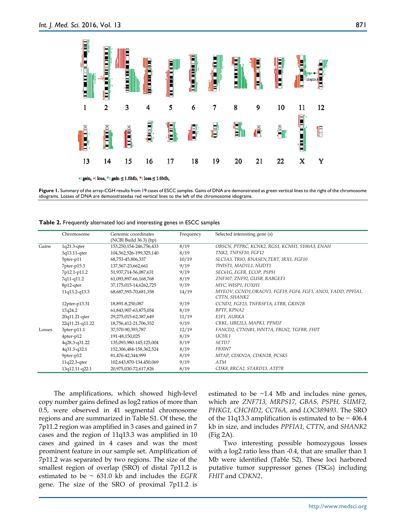

": gain, ": loss, ": gain ≤ 1.0Mb, ": loss ≤ 1.0Mb,

Figure 1. Summary of the array-CGH results from 19 cases of ESCC samples. Gains of DNA are demonstrated as green vertical lines to the right of the chromosome idiograms. Losses of DNA are demonstratedas red vertical lines to the left of the chromosome idiograms.

|        | Chromosome        | Genomic coordinates<br>(NCBI Build 36.3) (bp) | Frequency | Selected interesting gene (s)                                               |
|--------|-------------------|-----------------------------------------------|-----------|-----------------------------------------------------------------------------|
| Gains  | $1q21.3$ -qter    | 153,250,154-246,756,433                       | 8/19      | OBSCN, PTPRC, KCNK2, RGS1, KCNH1, S100A3, ENAH                              |
|        | 3q13.11-qter      | 104,562,526-199,325,140                       | 8/19      | TNK2, TNFSF10, FGF12                                                        |
|        | 5pter-p11         | 68,753-45,806,337                             | 10/19     | SLC1A3, TRIO, RNASEN, TERT, IRX1, FGF10                                     |
|        | $7$ pter-p $15.3$ | 137,567-23,662,661                            | 9/19      | TWIST1, MAD1L1, NUDT1                                                       |
|        | 7p12.1-p11.2      | 51,937,714-56,087,631                         | 9/19      | SEC61G, EGFR, ECOP, PSPH                                                    |
|        | 7q11-q11.2        | 61,093,897-66,168,768                         | 8/19      | ZNF107, ZNF92, GUSB, RABGEF1                                                |
|        | 8p12-qter         | 37,175,015-14,6262,725                        | 9/19      | MYC, WISP1, FOXH1                                                           |
|        | 11q13.2-q13.3     | 68, 687, 593-70, 681, 358                     | 14/19     | MYEOV, CCND1, ORAOV1, FGF19, FGF4, FGF3, ANO1, FADD, PPFIA1<br>CTTN, SHANK2 |
|        | 12pter-p13.31     | 18,891-8,250,087                              | 9/19      | CCND2, FGF23, TNFRSF1A, LTBR, GRIN2B                                        |
|        | 17q24.2           | 61,843,907-63,875,054                         | 8/19      | BPTF, KPNA2                                                                 |
|        | 20q11.21-qter     | 29,275,015-62,387,649                         | 11/19     | E2F1, AURKA                                                                 |
|        | 22q11.21-q11.22   | 18,756,412-21,706,352                         | 9/19      | CRKL, UBE2L3, MAPK1, PPM1F                                                  |
| Losses | 3pter-p11.1       | 37,570-90,393,787                             | 12/19     | FANCD2, CTNNB1, WNT7A, FBLN2, TGFBR, FHIT                                   |
|        | 4pter-p12         | 191-48,150,025                                | 8/19      | UCHL1                                                                       |
|        | 4q28.3-q31.22     | 135,093,980-145,125,004                       | 8/19      | <i>SETD7</i>                                                                |
|        | 4q31.3-q32.1      | 152,306,484-158,362,524                       | 8/19      | FBXW7                                                                       |
|        | 9pter-p12         | 81,476-42,344,999                             | 8/19      | MTAP, CDKN2A, CDKN2B, PCSK5                                                 |
|        | 11q22.3-qter      | 102,643,870-134,450,069                       | 9/19      | ATM                                                                         |
|        | 13q12.11-q22.1    | 20,975,030-72,617,826                         | 8/19      | CDK8, BRCA2, STARD13, ATP7B                                                 |

**Table 2.** Frequently alternated loci and interesting genes in ESCC samples

The amplifications, which showed high-level copy number gains defined as log2 ratios of more than 0.5, were observed in 41 segmental chromosome regions and are summarized in Table S1. Of these, the 7p11.2 region was amplified in 3 cases and gained in 7 cases and the region of 11q13.3 was amplified in 10 cases and gained in 4 cases and was the most prominent feature in our sample set. Amplification of 7p11.2 was separated by two regions. The size of the smallest region of overlap (SRO) of distal 7p11.2 is estimated to be ~ 631.0 kb and includes the *EGFR*  gene. The size of the SRO of proximal 7p11.2 is

estimated to be  $\sim$ 1.4 Mb and includes nine genes, which are *ZNF713, MRPS17, GBAS, PSPH, SUMF2, PHKG1, CHCHD2, CCT6A,* and *LOC389493*. The SRO of the 11q13.3 amplification is estimated to be  $\sim$  406.4 kb in size, and includes *PPFIA1, CTTN*, and *SHANK2* (Fig 2A).

Two interesting possible homozygous losses with a log2 ratio less than -0.4, that are smaller than 1 Mb were identified (Table S2). These loci harbored putative tumor suppressor genes (TSGs) including *FHIT* and *CDKN2*.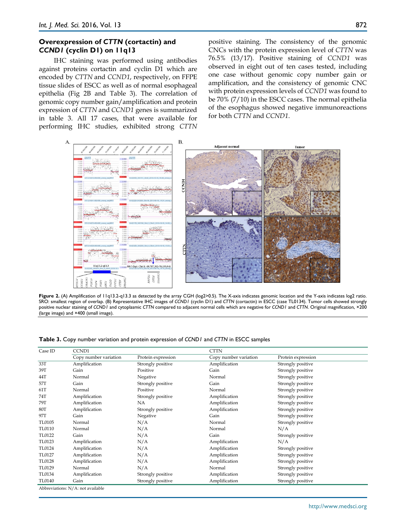#### **Overexpression of** *CTTN* **(cortactin) and**  *CCND1* **(cyclin D1) on 11q13**

IHC staining was performed using antibodies against proteins cortactin and cyclin D1 which are encoded by *CTTN* and *CCND1*, respectively, on FFPE tissue slides of ESCC as well as of normal esophageal epithelia (Fig 2B and Table 3). The correlation of genomic copy number gain/amplification and protein expression of *CTTN* and *CCND1* genes is summarized in table 3. All 17 cases, that were available for performing IHC studies, exhibited strong *CTTN* positive staining. The consistency of the genomic CNCs with the protein expression level of *CTTN* was 76.5% (13/17). Positive staining of *CCND1* was observed in eight out of ten cases tested, including one case without genomic copy number gain or amplification, and the consistency of genomic CNC with protein expression levels of *CCND1* was found to be 70% (7/10) in the ESCC cases. The normal epithelia of the esophagus showed negative immunoreactions for both *CTTN* and *CCND1*.



**Figure 2.** (A) Amplification of 11q13.2-q13.3 as detected by the array CGH (log2>0.5). The X-axis indicates genomic location and the Y-axis indicates log2 ratio. SRO: smallest region of overlap. (B) Representative IHC images of *CCND1* (cyclin D1) and *CTTN* (cortactin) in ESCC (case TL0134). Tumor cells showed strongly positive nuclear staining of *CCND1* and cytoplasmic *CTTN* compared to adjacent normal cells which are negative for *CCND1* and *CTTN*. Original magnification, ×200 (large image) and ×400 (small image).

**Table 3.** Copy number variation and protein expression of *CCND1* and *CTTN* in ESCC samples

| Case ID       | CCND1                                                       |                    | <b>CTTN</b>           |                    |  |  |
|---------------|-------------------------------------------------------------|--------------------|-----------------------|--------------------|--|--|
|               | Copy number variation                                       | Protein expression | Copy number variation | Protein expression |  |  |
| 33T           | Amplification                                               | Strongly positive  | Amplification         | Strongly positive  |  |  |
| 39T           | Gain                                                        | Positive           | Gain                  | Strongly positive  |  |  |
| 44T           | Normal                                                      | Negative           | Normal                | Strongly positive  |  |  |
| 57T           | Gain                                                        | Strongly positive  | Gain                  | Strongly positive  |  |  |
| 61T           | Normal                                                      | Positive           | Normal                | Strongly positive  |  |  |
| 74T           | Amplification                                               | Strongly positive  | Amplification         | Strongly positive  |  |  |
| 79T           | Amplification                                               | NA.                | Amplification         | Strongly positive  |  |  |
| 80T           | Amplification                                               | Strongly positive  | Amplification         | Strongly positive  |  |  |
| 97T           | Gain                                                        | Negative           | Gain                  | Strongly positive  |  |  |
| TL0105        | Normal                                                      | N/A                | Normal                | Strongly positive  |  |  |
| TL0110        | Normal                                                      | N/A                | Normal                | N/A                |  |  |
| TL0122        | Gain                                                        | N/A                | Gain                  | Strongly positive  |  |  |
| TL0123        | Amplification                                               | N/A                | Amplification         | N/A                |  |  |
| TL0124        | Amplification                                               | N/A                | Amplification         | Strongly positive  |  |  |
| TL0127        | Amplification                                               | N/A                | Amplification         | Strongly positive  |  |  |
| <b>TL0128</b> | Amplification                                               | N/A                | Amplification         | Strongly positive  |  |  |
| TL0129        | Normal                                                      | N/A                | Normal                | Strongly positive  |  |  |
| TL0134        | Amplification                                               | Strongly positive  | Amplification         | Strongly positive  |  |  |
| TL0140        | Gain                                                        | Strongly positive  | Amplification         | Strongly positive  |  |  |
|               | $\Lambda$ bbroviatione: $\Lambda$ . $\Lambda$ and available |                    |                       |                    |  |  |

ns: N/A: not ava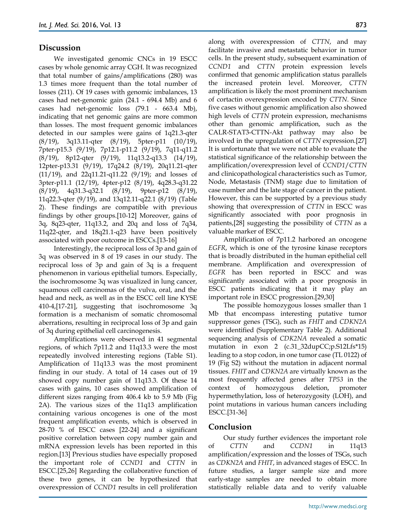#### **Discussion**

We investigated genomic CNCs in 19 ESCC cases by whole genomic array CGH. It was recognized that total number of gains/amplifications (280) was 1.3 times more frequent than the total number of losses (211). Of 19 cases with genomic imbalances, 13 cases had net-genomic gain (24.1 - 694.4 Mb) and 6 cases had net-genomic loss (79.1 - 663.4 Mb), indicating that net genomic gains are more common than losses. The most frequent genomic imbalances detected in our samples were gains of 1q21.3-qter (8/19), 3q13.11-qter (8/19), 5pter-p11 (10/19), 7pter-p15.3 (9/19), 7p12.1-p11.2 (9/19), 7q11-q11.2 (8/19), 8p12-qter (9/19), 11q13.2-q13.3 (14/19), 12pter-p13.31 (9/19), 17q24.2 (8/19), 20q11.21-qter (11/19), and 22q11.21-q11.22 (9/19); and losses of 3pter-p11.1 (12/19), 4pter-p12 (8/19), 4q28.3-q31.22 (8/19), 4q31.3-q32.1 (8/19), 9pter-p12 (8/19), 11q22.3-qter (9/19), and 13q12.11-q22.1 (8/19) (Table 2). These findings are compatible with previous findings by other groups.[10-12] Moreover, gains of 3q, 8q23-qter, 11q13.2, and 20q and loss of 7q34, 11q22-qter, and 18q21.1-q23 have been positively associated with poor outcome in ESCCs.[13-16]

Interestingly, the reciprocal loss of 3p and gain of 3q was observed in 8 of 19 cases in our study. The reciprocal loss of 3p and gain of 3q is a frequent phenomenon in various epithelial tumors. Especially, the isochromosome 3q was visualized in lung cancer, squamous cell carcinomas of the vulva, oral, and the head and neck, as well as in the ESCC cell line KYSE 410-4,[17-21], suggesting that isochromosome 3q formation is a mechanism of somatic chromosomal aberrations, resulting in reciprocal loss of 3p and gain of 3q during epithelial cell carcinogenesis.

Amplifications were observed in 41 segmental regions, of which 7p11.2 and 11q13.3 were the most repeatedly involved interesting regions (Table S1). Amplification of 11q13.3 was the most prominent finding in our study. A total of 14 cases out of 19 showed copy number gain of 11q13.3. Of these 14 cases with gains, 10 cases showed amplification of different sizes ranging from 406.4 kb to 5.9 Mb (Fig 2A). The various sizes of the 11q13 amplification containing various oncogenes is one of the most frequent amplification events, which is observed in 28-70 % of ESCC cases [22-24] and a significant positive correlation between copy number gain and mRNA expression levels has been reported in this region.[13] Previous studies have especially proposed the important role of *CCND1* and *CTTN* in ESCC.[25,26] Regarding the collaborative function of these two genes, it can be hypothesized that overexpression of *CCND1* results in cell proliferation

along with overexpression of *CTTN*, and may facilitate invasive and metastatic behavior in tumor cells. In the present study, subsequent examination of *CCND1* and *CTTN* protein expression levels confirmed that genomic amplification status parallels the increased protein level. Moreover, *CTTN* amplification is likely the most prominent mechanism of cortactin overexpression encoded by *CTTN*. Since five cases without genomic amplification also showed high levels of *CTTN* protein expression, mechanisms other than genomic amplification, such as the CALR-STAT3-CTTN-Akt pathway may also be involved in the upregulation of *CTTN* expression.[27] It is unfortunate that we were not able to evaluate the statistical significance of the relationship between the amplification/overexpression level of *CCND1*/*CTTN*  and clinicopathological characteristics such as Tumor, Node, Metastasis (TNM) stage due to limitation of case number and the late stage of cancer in the patient. However, this can be supported by a previous study showing that overexpression of *CTTN* in ESCC was significantly associated with poor prognosis in patients,[28] suggesting the possibility of *CTTN* as a valuable marker of ESCC.

Amplification of 7p11.2 harbored an oncogene *EGFR*, which is one of the tyrosine kinase receptors that is broadly distributed in the human epithelial cell membrane. Amplification and overexpression of *EGFR* has been reported in ESCC and was significantly associated with a poor prognosis in ESCC patients indicating that it may play an important role in ESCC progression.[29,30]

The possible homozygous losses smaller than 1 Mb that encompass interesting putative tumor suppressor genes (TSG), such as *FHIT* and *CDKN2A* were identified (Supplementary Table 2). Additional sequencing analysis of *CDK2NA* revealed a somatic mutation in exon 2 (c.31\_32dupCC;p.S12Lfs\*15) leading to a stop codon, in one tumor case (TL 0122) of 19 (Fig S2) without the mutation in adjacent normal tissues. *FHIT* and *CDKN2A* are virtually known as the most frequently affected genes after *TP53* in the context of homozygous deletion, promoter hypermethylation, loss of heterozygosity (LOH), and point mutations in various human cancers including ESCC.[31-36]

#### **Conclusion**

Our study further evidences the important role of *CTTN* and *CCDN1* in 11q13 amplification/expression and the losses of TSGs, such as *CDKN2A* and *FHIT*, in advanced stages of ESCC. In future studies, a larger sample size and more early-stage samples are needed to obtain more statistically reliable data and to verify valuable